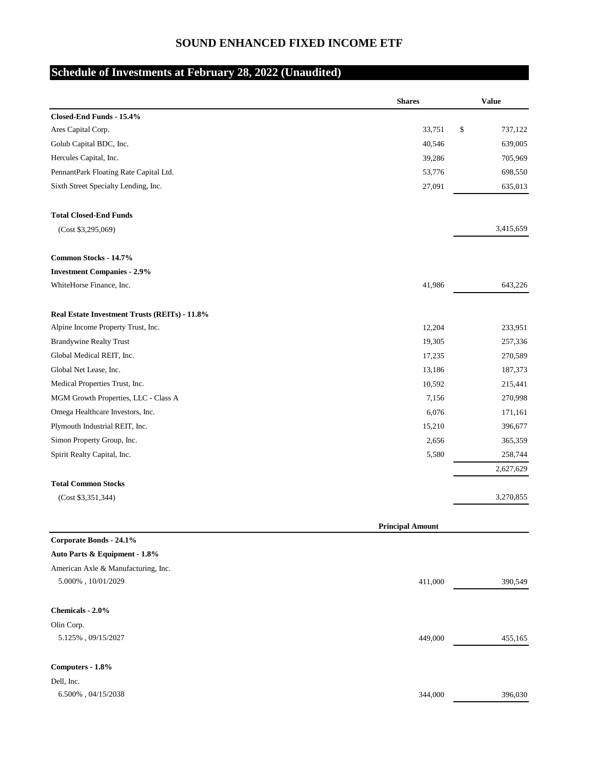## **SOUND ENHANCED FIXED INCOME ETF**

## **Schedule of Investments at February 28, 2022 (Unaudited)**

|                                               | <b>Shares</b>           | <b>Value</b>  |
|-----------------------------------------------|-------------------------|---------------|
| Closed-End Funds - 15.4%                      |                         |               |
| Ares Capital Corp.                            | 33,751                  | \$<br>737,122 |
| Golub Capital BDC, Inc.                       | 40,546                  | 639,005       |
| Hercules Capital, Inc.                        | 39,286                  | 705,969       |
| PennantPark Floating Rate Capital Ltd.        | 53,776                  | 698,550       |
| Sixth Street Specialty Lending, Inc.          | 27,091                  | 635,013       |
| <b>Total Closed-End Funds</b>                 |                         |               |
| (Cost \$3,295,069)                            |                         | 3,415,659     |
| Common Stocks - 14.7%                         |                         |               |
| <b>Investment Companies - 2.9%</b>            |                         |               |
| WhiteHorse Finance, Inc.                      | 41,986                  | 643,226       |
| Real Estate Investment Trusts (REITs) - 11.8% |                         |               |
| Alpine Income Property Trust, Inc.            | 12,204                  | 233,951       |
| <b>Brandywine Realty Trust</b>                | 19,305                  | 257,336       |
| Global Medical REIT, Inc.                     | 17,235                  | 270,589       |
| Global Net Lease, Inc.                        | 13,186                  | 187,373       |
| Medical Properties Trust, Inc.                | 10,592                  | 215,441       |
| MGM Growth Properties, LLC - Class A          | 7,156                   | 270,998       |
| Omega Healthcare Investors, Inc.              | 6,076                   | 171,161       |
| Plymouth Industrial REIT, Inc.                | 15,210                  | 396,677       |
| Simon Property Group, Inc.                    | 2,656                   | 365,359       |
| Spirit Realty Capital, Inc.                   | 5,580                   | 258,744       |
|                                               |                         | 2,627,629     |
| <b>Total Common Stocks</b>                    |                         |               |
| (Cost \$3,351,344)                            |                         | 3,270,855     |
|                                               | <b>Principal Amount</b> |               |
| Corporate Bonds - 24.1%                       |                         |               |
| Auto Parts & Equipment - 1.8%                 |                         |               |
| American Axle & Manufacturing, Inc.           |                         |               |
| $5.000\%$ , $10/01/2029$                      | 411,000                 | 390,549       |
| Chemicals - 2.0%                              |                         |               |
| Olin Corp.                                    |                         |               |
| $5.125\%$ , 09/15/2027                        | 449,000                 | 455,165       |
| Computers - 1.8%                              |                         |               |
| Dell, Inc.                                    |                         |               |
| $6.500\%$ , $04/15/2038$                      | 344,000                 | 396,030       |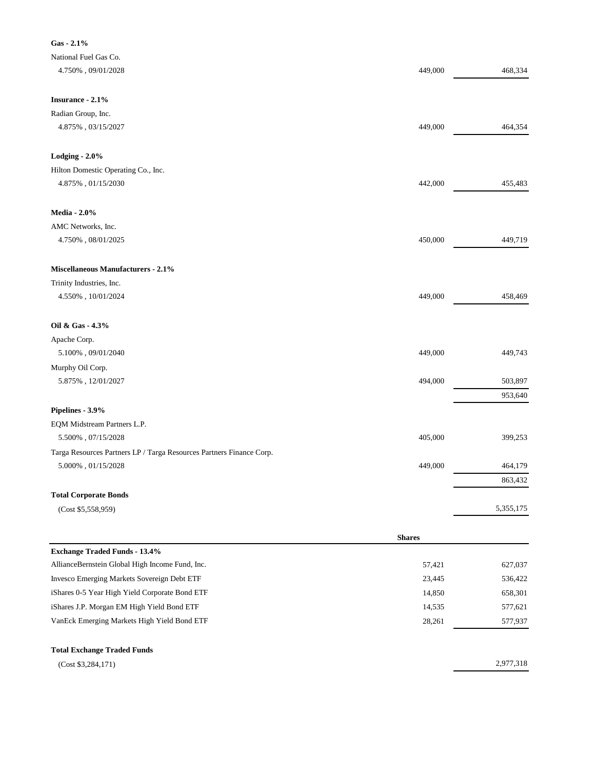| National Fuel Gas Co.<br>$4.750\%$ , $09/01/2028$<br>449,000<br>468,334<br>Radian Group, Inc.<br>4.875%, 03/15/2027<br>449,000<br>464,354<br>Hilton Domestic Operating Co., Inc.<br>$4.875\%$ , $01/15/2030$<br>455,483<br>442,000<br><b>Media - 2.0%</b><br>AMC Networks, Inc.<br>450,000<br>449,719<br>$4.750\%$ , $08/01/2025$<br>Miscellaneous Manufacturers - 2.1%<br>Trinity Industries, Inc.<br>449,000<br>$4.550\%$ , $10/01/2024$<br>458,469<br>Oil & Gas - 4.3%<br>Apache Corp.<br>449,000<br>449,743<br>$5.100\%$ , 09/01/2040<br>Murphy Oil Corp.<br>$5.875\%$ , $12/01/2027$<br>503,897<br>494,000<br>953,640<br>EQM Midstream Partners L.P.<br>$5.500\%$ , $07/15/2028$<br>405,000<br>399,253<br>Targa Resources Partners LP / Targa Resources Partners Finance Corp.<br>$5.000\%$ , $01/15/2028$<br>449,000<br>464,179<br>863,432<br><b>Total Corporate Bonds</b><br>5,355,175<br>(Cost \$5,558,959)<br><b>Shares</b><br><b>Exchange Traded Funds - 13.4%</b><br>57,421<br>627,037<br>AllianceBernstein Global High Income Fund, Inc.<br>23,445<br>Invesco Emerging Markets Sovereign Debt ETF<br>536,422<br>iShares 0-5 Year High Yield Corporate Bond ETF<br>14,850<br>658,301<br>iShares J.P. Morgan EM High Yield Bond ETF<br>14,535<br>577,621<br>VanEck Emerging Markets High Yield Bond ETF<br>28,261<br>577,937<br><b>Total Exchange Traded Funds</b><br>2,977,318<br>(Cost \$3,284,171) | Gas - 2.1%        |  |
|-----------------------------------------------------------------------------------------------------------------------------------------------------------------------------------------------------------------------------------------------------------------------------------------------------------------------------------------------------------------------------------------------------------------------------------------------------------------------------------------------------------------------------------------------------------------------------------------------------------------------------------------------------------------------------------------------------------------------------------------------------------------------------------------------------------------------------------------------------------------------------------------------------------------------------------------------------------------------------------------------------------------------------------------------------------------------------------------------------------------------------------------------------------------------------------------------------------------------------------------------------------------------------------------------------------------------------------------------------------------------------------------------------------------|-------------------|--|
|                                                                                                                                                                                                                                                                                                                                                                                                                                                                                                                                                                                                                                                                                                                                                                                                                                                                                                                                                                                                                                                                                                                                                                                                                                                                                                                                                                                                                 |                   |  |
|                                                                                                                                                                                                                                                                                                                                                                                                                                                                                                                                                                                                                                                                                                                                                                                                                                                                                                                                                                                                                                                                                                                                                                                                                                                                                                                                                                                                                 |                   |  |
|                                                                                                                                                                                                                                                                                                                                                                                                                                                                                                                                                                                                                                                                                                                                                                                                                                                                                                                                                                                                                                                                                                                                                                                                                                                                                                                                                                                                                 |                   |  |
|                                                                                                                                                                                                                                                                                                                                                                                                                                                                                                                                                                                                                                                                                                                                                                                                                                                                                                                                                                                                                                                                                                                                                                                                                                                                                                                                                                                                                 | Insurance - 2.1%  |  |
|                                                                                                                                                                                                                                                                                                                                                                                                                                                                                                                                                                                                                                                                                                                                                                                                                                                                                                                                                                                                                                                                                                                                                                                                                                                                                                                                                                                                                 |                   |  |
|                                                                                                                                                                                                                                                                                                                                                                                                                                                                                                                                                                                                                                                                                                                                                                                                                                                                                                                                                                                                                                                                                                                                                                                                                                                                                                                                                                                                                 |                   |  |
|                                                                                                                                                                                                                                                                                                                                                                                                                                                                                                                                                                                                                                                                                                                                                                                                                                                                                                                                                                                                                                                                                                                                                                                                                                                                                                                                                                                                                 |                   |  |
|                                                                                                                                                                                                                                                                                                                                                                                                                                                                                                                                                                                                                                                                                                                                                                                                                                                                                                                                                                                                                                                                                                                                                                                                                                                                                                                                                                                                                 | Lodging - $2.0\%$ |  |
|                                                                                                                                                                                                                                                                                                                                                                                                                                                                                                                                                                                                                                                                                                                                                                                                                                                                                                                                                                                                                                                                                                                                                                                                                                                                                                                                                                                                                 |                   |  |
|                                                                                                                                                                                                                                                                                                                                                                                                                                                                                                                                                                                                                                                                                                                                                                                                                                                                                                                                                                                                                                                                                                                                                                                                                                                                                                                                                                                                                 |                   |  |
|                                                                                                                                                                                                                                                                                                                                                                                                                                                                                                                                                                                                                                                                                                                                                                                                                                                                                                                                                                                                                                                                                                                                                                                                                                                                                                                                                                                                                 |                   |  |
|                                                                                                                                                                                                                                                                                                                                                                                                                                                                                                                                                                                                                                                                                                                                                                                                                                                                                                                                                                                                                                                                                                                                                                                                                                                                                                                                                                                                                 |                   |  |
|                                                                                                                                                                                                                                                                                                                                                                                                                                                                                                                                                                                                                                                                                                                                                                                                                                                                                                                                                                                                                                                                                                                                                                                                                                                                                                                                                                                                                 |                   |  |
|                                                                                                                                                                                                                                                                                                                                                                                                                                                                                                                                                                                                                                                                                                                                                                                                                                                                                                                                                                                                                                                                                                                                                                                                                                                                                                                                                                                                                 |                   |  |
|                                                                                                                                                                                                                                                                                                                                                                                                                                                                                                                                                                                                                                                                                                                                                                                                                                                                                                                                                                                                                                                                                                                                                                                                                                                                                                                                                                                                                 |                   |  |
|                                                                                                                                                                                                                                                                                                                                                                                                                                                                                                                                                                                                                                                                                                                                                                                                                                                                                                                                                                                                                                                                                                                                                                                                                                                                                                                                                                                                                 |                   |  |
|                                                                                                                                                                                                                                                                                                                                                                                                                                                                                                                                                                                                                                                                                                                                                                                                                                                                                                                                                                                                                                                                                                                                                                                                                                                                                                                                                                                                                 |                   |  |
|                                                                                                                                                                                                                                                                                                                                                                                                                                                                                                                                                                                                                                                                                                                                                                                                                                                                                                                                                                                                                                                                                                                                                                                                                                                                                                                                                                                                                 |                   |  |
|                                                                                                                                                                                                                                                                                                                                                                                                                                                                                                                                                                                                                                                                                                                                                                                                                                                                                                                                                                                                                                                                                                                                                                                                                                                                                                                                                                                                                 |                   |  |
|                                                                                                                                                                                                                                                                                                                                                                                                                                                                                                                                                                                                                                                                                                                                                                                                                                                                                                                                                                                                                                                                                                                                                                                                                                                                                                                                                                                                                 |                   |  |
|                                                                                                                                                                                                                                                                                                                                                                                                                                                                                                                                                                                                                                                                                                                                                                                                                                                                                                                                                                                                                                                                                                                                                                                                                                                                                                                                                                                                                 |                   |  |
|                                                                                                                                                                                                                                                                                                                                                                                                                                                                                                                                                                                                                                                                                                                                                                                                                                                                                                                                                                                                                                                                                                                                                                                                                                                                                                                                                                                                                 |                   |  |
|                                                                                                                                                                                                                                                                                                                                                                                                                                                                                                                                                                                                                                                                                                                                                                                                                                                                                                                                                                                                                                                                                                                                                                                                                                                                                                                                                                                                                 |                   |  |
|                                                                                                                                                                                                                                                                                                                                                                                                                                                                                                                                                                                                                                                                                                                                                                                                                                                                                                                                                                                                                                                                                                                                                                                                                                                                                                                                                                                                                 |                   |  |
|                                                                                                                                                                                                                                                                                                                                                                                                                                                                                                                                                                                                                                                                                                                                                                                                                                                                                                                                                                                                                                                                                                                                                                                                                                                                                                                                                                                                                 | Pipelines - 3.9%  |  |
|                                                                                                                                                                                                                                                                                                                                                                                                                                                                                                                                                                                                                                                                                                                                                                                                                                                                                                                                                                                                                                                                                                                                                                                                                                                                                                                                                                                                                 |                   |  |
|                                                                                                                                                                                                                                                                                                                                                                                                                                                                                                                                                                                                                                                                                                                                                                                                                                                                                                                                                                                                                                                                                                                                                                                                                                                                                                                                                                                                                 |                   |  |
|                                                                                                                                                                                                                                                                                                                                                                                                                                                                                                                                                                                                                                                                                                                                                                                                                                                                                                                                                                                                                                                                                                                                                                                                                                                                                                                                                                                                                 |                   |  |
|                                                                                                                                                                                                                                                                                                                                                                                                                                                                                                                                                                                                                                                                                                                                                                                                                                                                                                                                                                                                                                                                                                                                                                                                                                                                                                                                                                                                                 |                   |  |
|                                                                                                                                                                                                                                                                                                                                                                                                                                                                                                                                                                                                                                                                                                                                                                                                                                                                                                                                                                                                                                                                                                                                                                                                                                                                                                                                                                                                                 |                   |  |
|                                                                                                                                                                                                                                                                                                                                                                                                                                                                                                                                                                                                                                                                                                                                                                                                                                                                                                                                                                                                                                                                                                                                                                                                                                                                                                                                                                                                                 |                   |  |
|                                                                                                                                                                                                                                                                                                                                                                                                                                                                                                                                                                                                                                                                                                                                                                                                                                                                                                                                                                                                                                                                                                                                                                                                                                                                                                                                                                                                                 |                   |  |
|                                                                                                                                                                                                                                                                                                                                                                                                                                                                                                                                                                                                                                                                                                                                                                                                                                                                                                                                                                                                                                                                                                                                                                                                                                                                                                                                                                                                                 |                   |  |
|                                                                                                                                                                                                                                                                                                                                                                                                                                                                                                                                                                                                                                                                                                                                                                                                                                                                                                                                                                                                                                                                                                                                                                                                                                                                                                                                                                                                                 |                   |  |
|                                                                                                                                                                                                                                                                                                                                                                                                                                                                                                                                                                                                                                                                                                                                                                                                                                                                                                                                                                                                                                                                                                                                                                                                                                                                                                                                                                                                                 |                   |  |
|                                                                                                                                                                                                                                                                                                                                                                                                                                                                                                                                                                                                                                                                                                                                                                                                                                                                                                                                                                                                                                                                                                                                                                                                                                                                                                                                                                                                                 |                   |  |
|                                                                                                                                                                                                                                                                                                                                                                                                                                                                                                                                                                                                                                                                                                                                                                                                                                                                                                                                                                                                                                                                                                                                                                                                                                                                                                                                                                                                                 |                   |  |
|                                                                                                                                                                                                                                                                                                                                                                                                                                                                                                                                                                                                                                                                                                                                                                                                                                                                                                                                                                                                                                                                                                                                                                                                                                                                                                                                                                                                                 |                   |  |
|                                                                                                                                                                                                                                                                                                                                                                                                                                                                                                                                                                                                                                                                                                                                                                                                                                                                                                                                                                                                                                                                                                                                                                                                                                                                                                                                                                                                                 |                   |  |
|                                                                                                                                                                                                                                                                                                                                                                                                                                                                                                                                                                                                                                                                                                                                                                                                                                                                                                                                                                                                                                                                                                                                                                                                                                                                                                                                                                                                                 |                   |  |
|                                                                                                                                                                                                                                                                                                                                                                                                                                                                                                                                                                                                                                                                                                                                                                                                                                                                                                                                                                                                                                                                                                                                                                                                                                                                                                                                                                                                                 |                   |  |
|                                                                                                                                                                                                                                                                                                                                                                                                                                                                                                                                                                                                                                                                                                                                                                                                                                                                                                                                                                                                                                                                                                                                                                                                                                                                                                                                                                                                                 |                   |  |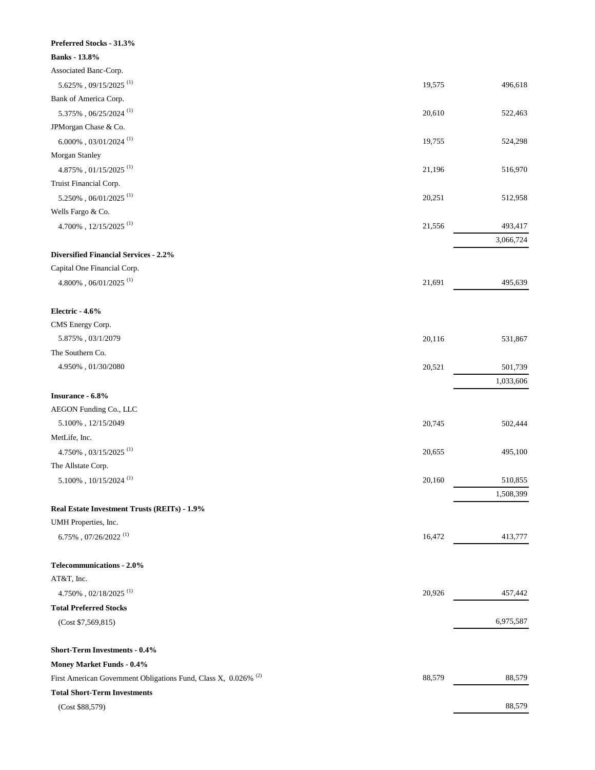| Preferred Stocks - 31.3%                                        |        |           |
|-----------------------------------------------------------------|--------|-----------|
| <b>Banks</b> - 13.8%                                            |        |           |
| Associated Banc-Corp.                                           |        |           |
| $5.625\%$ , 09/15/2025 $^{(1)}$                                 | 19,575 | 496,618   |
| Bank of America Corp.                                           |        |           |
| $5.375\%$ , $06/25/2024$ $^{(1)}$                               | 20,610 | 522,463   |
| JPMorgan Chase & Co.                                            |        |           |
| $6.000\%$ , $03/01/2024$ $^{\rm (1)}$                           | 19,755 | 524,298   |
| Morgan Stanley                                                  |        |           |
| $4.875\%$ , $01/15/2025$ $^{(1)}$                               | 21,196 | 516,970   |
| Truist Financial Corp.                                          |        |           |
| $5.250\%$ , $06/01/2025$ $^{\rm (1)}$                           | 20,251 | 512,958   |
| Wells Fargo & Co.                                               |        |           |
| $4.700\%$ , $12/15/2025$ $^{(1)}$                               | 21,556 | 493,417   |
|                                                                 |        | 3,066,724 |
| <b>Diversified Financial Services - 2.2%</b>                    |        |           |
| Capital One Financial Corp.                                     |        |           |
| $4.800\%$ , $06/01/2025$ $^{\rm (1)}$                           | 21,691 | 495,639   |
|                                                                 |        |           |
| Electric - 4.6%                                                 |        |           |
| CMS Energy Corp.                                                |        |           |
| $5.875\%$ , $03/1/2079$                                         | 20,116 | 531,867   |
| The Southern Co.                                                |        |           |
| 4.950%, 01/30/2080                                              | 20,521 | 501,739   |
|                                                                 |        | 1,033,606 |
| Insurance - 6.8%                                                |        |           |
| AEGON Funding Co., LLC                                          |        |           |
| $5.100\%$ , $12/15/2049$                                        | 20,745 | 502,444   |
| MetLife, Inc.                                                   |        |           |
| $4.750\%$ , $03/15/2025$ $^{\rm (1)}$                           | 20,655 | 495,100   |
| The Allstate Corp.                                              |        |           |
| $5.100\%$ , $10/15/2024$ $^{\rm (1)}$                           | 20,160 | 510,855   |
|                                                                 |        | 1,508,399 |
| Real Estate Investment Trusts (REITs) - 1.9%                    |        |           |
| UMH Properties, Inc.                                            |        |           |
| $6.75\%$ , $07/26/2022$ $^{(1)}$                                | 16,472 | 413,777   |
|                                                                 |        |           |
| Telecommunications - 2.0%                                       |        |           |
| AT&T, Inc.                                                      |        |           |
| $4.750\%$ , $02/18/2025$ $^{\rm (1)}$                           | 20,926 | 457,442   |
| <b>Total Preferred Stocks</b>                                   |        |           |
| (Cost \$7,569,815)                                              |        | 6,975,587 |
|                                                                 |        |           |
| <b>Short-Term Investments - 0.4%</b>                            |        |           |
| Money Market Funds - 0.4%                                       |        |           |
| First American Government Obligations Fund, Class X, 0.026% (2) | 88,579 | 88,579    |
| <b>Total Short-Term Investments</b>                             |        |           |
| (Cost \$88,579)                                                 |        | 88,579    |
|                                                                 |        |           |